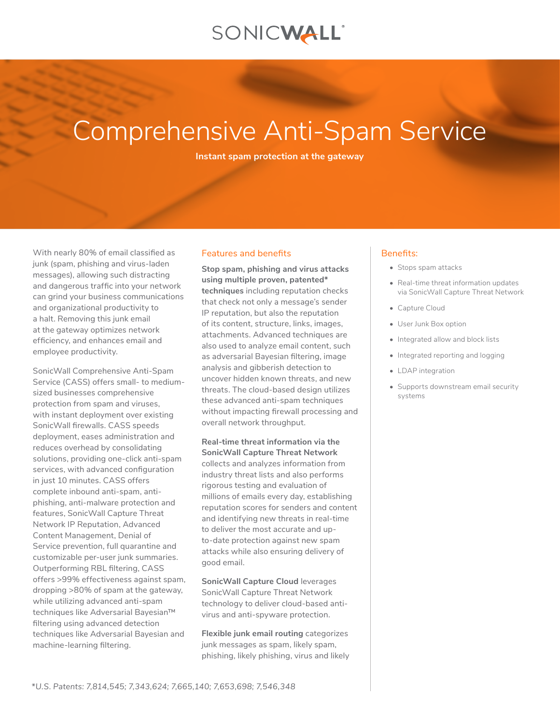# SONICWALL®

# Comprehensive Anti-Spam Service

**Instant spam protection at the gateway**

With nearly 80% of email classified as junk (spam, phishing and virus-laden messages), allowing such distracting and dangerous traffic into your network can grind your business communications and organizational productivity to a halt. Removing this junk email at the gateway optimizes network efficiency, and enhances email and employee productivity.

SonicWall Comprehensive Anti-Spam Service (CASS) offers small- to mediumsized businesses comprehensive protection from spam and viruses, with instant deployment over existing SonicWall firewalls. CASS speeds deployment, eases administration and reduces overhead by consolidating solutions, providing one-click anti-spam services, with advanced configuration in just 10 minutes. CASS offers complete inbound anti-spam, antiphishing, anti-malware protection and features, SonicWall Capture Threat Network IP Reputation, Advanced Content Management, Denial of Service prevention, full quarantine and customizable per-user junk summaries. Outperforming RBL filtering, CASS offers >99% effectiveness against spam, dropping >80% of spam at the gateway, while utilizing advanced anti-spam techniques like Adversarial Bayesian™ filtering using advanced detection techniques like Adversarial Bayesian and machine-learning filtering.

#### Features and benefits

**Stop spam, phishing and virus attacks using multiple proven, patented\* techniques** including reputation checks that check not only a message's sender IP reputation, but also the reputation of its content, structure, links, images, attachments. Advanced techniques are also used to analyze email content, such as adversarial Bayesian filtering, image analysis and gibberish detection to uncover hidden known threats, and new threats. The cloud-based design utilizes these advanced anti-spam techniques without impacting firewall processing and overall network throughput.

**Real-time threat information via the SonicWall Capture Threat Network** collects and analyzes information from industry threat lists and also performs rigorous testing and evaluation of millions of emails every day, establishing reputation scores for senders and content and identifying new threats in real-time to deliver the most accurate and upto-date protection against new spam attacks while also ensuring delivery of good email.

**SonicWall Capture Cloud** leverages SonicWall Capture Threat Network technology to deliver cloud-based antivirus and anti-spyware protection.

**Flexible junk email routing** categorizes junk messages as spam, likely spam, phishing, likely phishing, virus and likely

### Benefits:

- Stops spam attacks
- Real-time threat information updates via SonicWall Capture Threat Network
- Capture Cloud
- User Junk Box option
- Integrated allow and block lists
- Integrated reporting and logging
- LDAP integration
- Supports downstream email security systems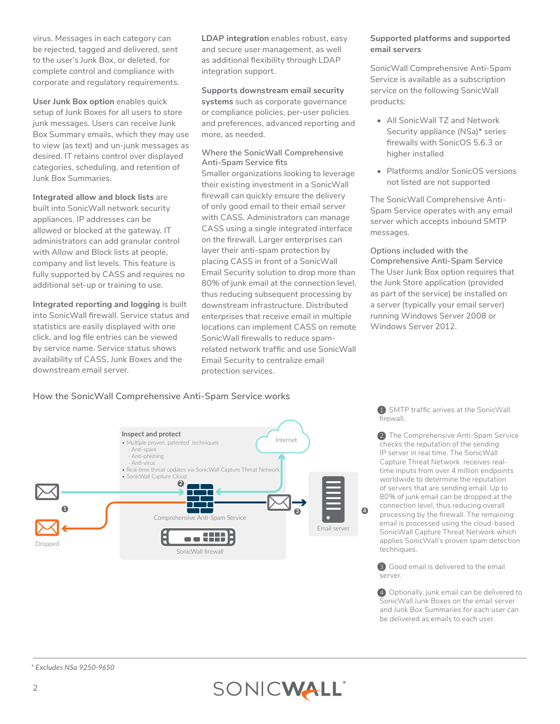virus. Messages in each category can be rejected, tagged and delivered, sent to the user's Junk Box, or deleted, for complete control and compliance with corporate and regulatory requirements.

**User Junk Box option** enables quick setup of Junk Boxes for all users to store junk messages. Users can receive Junk Box Summary emails, which they may use to view (as text) and un-junk messages as desired. IT retains control over displayed categories, scheduling, and retention of Junk Box Summaries.

#### **Integrated allow and block lists** are

built into SonicWall network security appliances. IP addresses can be allowed or blocked at the gateway. IT administrators can add granular control with Allow and Block lists at people, company and list levels. This feature is fully supported by CASS and requires no additional set-up or training to use.

**Integrated reporting and logging** is built into SonicWall firewall. Service status and statistics are easily displayed with one click, and log file entries can be viewed by service name. Service status shows availability of CASS, Junk Boxes and the downstream email server.

**LDAP integration** enables robust, easy and secure user management, as well as additional flexibility through LDAP integration support.

#### **Supports downstream email security**

**systems** such as corporate governance or compliance policies, per-user policies and preferences, advanced reporting and more, as needed.

#### **Where the SonicWall Comprehensive Anti-Spam Service fits**

Smaller organizations looking to leverage their existing investment in a SonicWall firewall can quickly ensure the delivery of only good email to their email server with CASS. Administrators can manage CASS using a single integrated interface on the firewall. Larger enterprises can layer their anti-spam protection by placing CASS in front of a SonicWall Email Security solution to drop more than 80% of junk email at the connection level, thus reducing subsequent processing by downstream infrastructure. Distributed enterprises that receive email in multiple locations can implement CASS on remote SonicWall firewalls to reduce spamrelated network traffic and use SonicWall Email Security to centralize email protection services.

### **Supported platforms and supported email servers**

SonicWall Comprehensive Anti-Spam Service is available as a subscription service on the following SonicWall products:

- All SonicWall TZ and Network Security appliance (NSa)\* series firewalls with SonicOS 5.6.3 or higher installed
- Platforms and/or SonicOS versions not listed are not supported

The SonicWall Comprehensive Anti-Spam Service operates with any email server which accepts inbound SMTP messages.

**Options included with the Comprehensive Anti-Spam Service** The User Junk Box option requires that the Junk Store application (provided as part of the service) be installed on a server (typically your email server) running Windows Server 2008 or Windows Server 2012.

# **How the SonicWall Comprehensive Anti-Spam Service works**



1 SMTP traffic arrives at the SonicWall firewall.

2 The Comprehensive Anti-Spam Service checks the reputation of the sending IP server in real time. The SonicWall Capture Threat Network receives realtime inputs from over 4 million endpoints worldwide to determine the reputation of servers that are sending email. Up to 80% of junk email can be dropped at the connection level, thus reducing overall processing by the firewall. The remaining email is processed using the cloud-based SonicWall Capture Threat Network which applies SonicWall's proven spam detection techniques.

3 Good email is delivered to the email server.

4 Optionally, junk email can be delivered to SonicWall Junk Boxes on the email server and Junk Box Summaries for each user can be delivered as emails to each user.